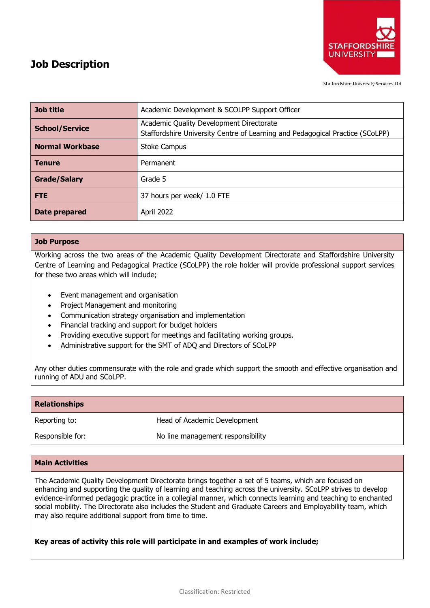

**Staffordshire University Services Ltd** 

| Job Description |  |
|-----------------|--|
|                 |  |

| <b>Job title</b>       | Academic Development & SCOLPP Support Officer                                                                             |
|------------------------|---------------------------------------------------------------------------------------------------------------------------|
| <b>School/Service</b>  | Academic Quality Development Directorate<br>Staffordshire University Centre of Learning and Pedagogical Practice (SCoLPP) |
| <b>Normal Workbase</b> | <b>Stoke Campus</b>                                                                                                       |
| <b>Tenure</b>          | Permanent                                                                                                                 |
| <b>Grade/Salary</b>    | Grade 5                                                                                                                   |
| <b>FTE</b>             | 37 hours per week/ 1.0 FTE                                                                                                |
| Date prepared          | April 2022                                                                                                                |

## **Job Purpose**

Working across the two areas of the Academic Quality Development Directorate and Staffordshire University Centre of Learning and Pedagogical Practice (SCoLPP) the role holder will provide professional support services for these two areas which will include;

- Event management and organisation
- Project Management and monitoring
- Communication strategy organisation and implementation
- Financial tracking and support for budget holders
- Providing executive support for meetings and facilitating working groups.
- Administrative support for the SMT of ADQ and Directors of SCoLPP

Any other duties commensurate with the role and grade which support the smooth and effective organisation and running of ADU and SCoLPP.

| <b>Relationships</b> |                                   |
|----------------------|-----------------------------------|
| Reporting to:        | Head of Academic Development      |
| Responsible for:     | No line management responsibility |

### **Main Activities**

The Academic Quality Development Directorate brings together a set of 5 teams, which are focused on enhancing and supporting the quality of learning and teaching across the university. SCoLPP strives to develop evidence-informed pedagogic practice in a collegial manner, which connects learning and teaching to enchanted social mobility. The Directorate also includes the Student and Graduate Careers and Employability team, which may also require additional support from time to time.

## **Key areas of activity this role will participate in and examples of work include;**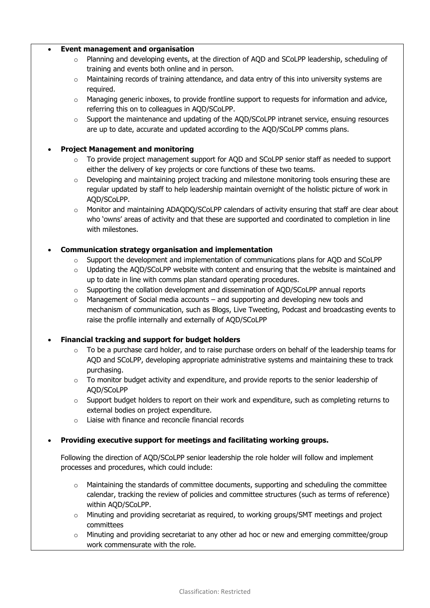### • **Event management and organisation**

- o Planning and developing events, at the direction of AQD and SCoLPP leadership, scheduling of training and events both online and in person.
- $\circ$  Maintaining records of training attendance, and data entry of this into university systems are required.
- $\circ$  Managing generic inboxes, to provide frontline support to requests for information and advice, referring this on to colleagues in AQD/SCoLPP.
- $\circ$  Support the maintenance and updating of the AOD/SCoLPP intranet service, ensuing resources are up to date, accurate and updated according to the AQD/SCoLPP comms plans.

## • **Project Management and monitoring**

- To provide project management support for AQD and SCoLPP senior staff as needed to support either the delivery of key projects or core functions of these two teams.
- $\circ$  Developing and maintaining project tracking and milestone monitoring tools ensuring these are regular updated by staff to help leadership maintain overnight of the holistic picture of work in AQD/SCoLPP.
- $\circ$  Monitor and maintaining ADAQDQ/SCoLPP calendars of activity ensuring that staff are clear about who 'owns' areas of activity and that these are supported and coordinated to completion in line with milestones.

## • **Communication strategy organisation and implementation**

- $\circ$  Support the development and implementation of communications plans for AOD and SCoLPP
- $\circ$  Updating the AQD/SCoLPP website with content and ensuring that the website is maintained and up to date in line with comms plan standard operating procedures.
- $\circ$  Supporting the collation development and dissemination of AOD/SCoLPP annual reports
- $\circ$  Management of Social media accounts and supporting and developing new tools and mechanism of communication, such as Blogs, Live Tweeting, Podcast and broadcasting events to raise the profile internally and externally of AQD/SCoLPP

# • **Financial tracking and support for budget holders**

- $\circ$  To be a purchase card holder, and to raise purchase orders on behalf of the leadership teams for AQD and SCoLPP, developing appropriate administrative systems and maintaining these to track purchasing.
- o To monitor budget activity and expenditure, and provide reports to the senior leadership of AQD/SCoLPP
- $\circ$  Support budget holders to report on their work and expenditure, such as completing returns to external bodies on project expenditure.
- o Liaise with finance and reconcile financial records

# • **Providing executive support for meetings and facilitating working groups.**

Following the direction of AQD/SCoLPP senior leadership the role holder will follow and implement processes and procedures, which could include:

- $\circ$  Maintaining the standards of committee documents, supporting and scheduling the committee calendar, tracking the review of policies and committee structures (such as terms of reference) within AQD/SCoLPP.
- o Minuting and providing secretariat as required, to working groups/SMT meetings and project committees
- $\circ$  Minuting and providing secretariat to any other ad hoc or new and emerging committee/group work commensurate with the role.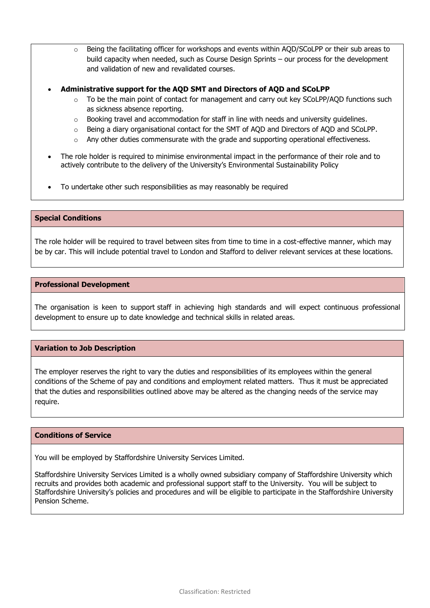- $\circ$  Being the facilitating officer for workshops and events within AOD/SCoLPP or their sub areas to build capacity when needed, such as Course Design Sprints – our process for the development and validation of new and revalidated courses.
- **Administrative support for the AQD SMT and Directors of AQD and SCoLPP**
	- $\circ$  To be the main point of contact for management and carry out key SCoLPP/AOD functions such as sickness absence reporting.
	- $\circ$  Booking travel and accommodation for staff in line with needs and university guidelines.
	- o Being a diary organisational contact for the SMT of AQD and Directors of AQD and SCoLPP.
	- o Any other duties commensurate with the grade and supporting operational effectiveness.
- The role holder is required to minimise environmental impact in the performance of their role and to actively contribute to the delivery of the University's Environmental Sustainability Policy
- To undertake other such responsibilities as may reasonably be required

#### **Special Conditions**

The role holder will be required to travel between sites from time to time in a cost-effective manner, which may be by car. This will include potential travel to London and Stafford to deliver relevant services at these locations.

#### **Professional Development**

The organisation is keen to support staff in achieving high standards and will expect continuous professional development to ensure up to date knowledge and technical skills in related areas.

#### **Variation to Job Description**

The employer reserves the right to vary the duties and responsibilities of its employees within the general conditions of the Scheme of pay and conditions and employment related matters. Thus it must be appreciated that the duties and responsibilities outlined above may be altered as the changing needs of the service may require.

#### **Conditions of Service**

You will be employed by Staffordshire University Services Limited.

Staffordshire University Services Limited is a wholly owned subsidiary company of Staffordshire University which recruits and provides both academic and professional support staff to the University. You will be subject to Staffordshire University's policies and procedures and will be eligible to participate in the Staffordshire University Pension Scheme.